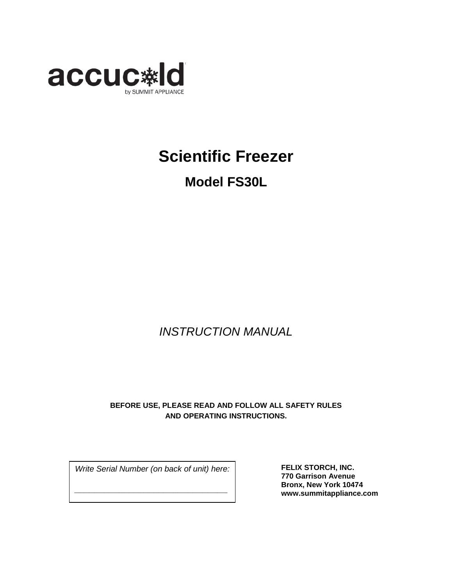

# **Scientific Freezer**

# **Model FS30L**

### *INSTRUCTION MANUAL*

### **BEFORE USE, PLEASE READ AND FOLLOW ALL SAFETY RULES AND OPERATING INSTRUCTIONS.**

*Write Serial Number (on back of unit) here:*

*\_\_\_\_\_\_\_\_\_\_\_\_\_\_\_\_\_\_\_\_\_\_\_\_\_\_\_\_\_\_\_*

**FELIX STORCH, INC. 770 Garrison Avenue Bronx, New York 10474 www.summitappliance.com**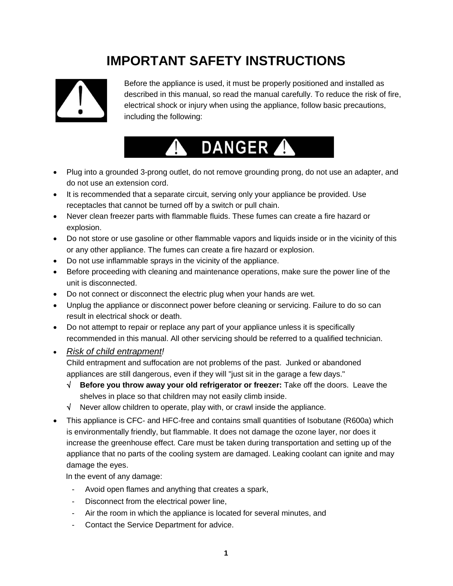# **IMPORTANT SAFETY INSTRUCTIONS**



Before the appliance is used, it must be properly positioned and installed as described in this manual, so read the manual carefully. To reduce the risk of fire, electrical shock or injury when using the appliance, follow basic precautions, including the following:

# DANGER A

- Plug into a grounded 3-prong outlet, do not remove grounding prong, do not use an adapter, and do not use an extension cord.
- It is recommended that a separate circuit, serving only your appliance be provided. Use receptacles that cannot be turned off by a switch or pull chain.
- Never clean freezer parts with flammable fluids. These fumes can create a fire hazard or explosion.
- Do not store or use gasoline or other flammable vapors and liquids inside or in the vicinity of this or any other appliance. The fumes can create a fire hazard or explosion.
- Do not use inflammable sprays in the vicinity of the appliance.
- Before proceeding with cleaning and maintenance operations, make sure the power line of the unit is disconnected.
- Do not connect or disconnect the electric plug when your hands are wet.
- Unplug the appliance or disconnect power before cleaning or servicing. Failure to do so can result in electrical shock or death.
- Do not attempt to repair or replace any part of your appliance unless it is specifically recommended in this manual. All other servicing should be referred to a qualified technician.
- *Risk of child entrapment !*

Child entrapment and suffocation are not problems of the past. Junked or abandoned appliances are still dangerous, even if they will "just sit in the garage a few days."

- √ **Before you throw away your old refrigerator or freezer:** Take off the doors. Leave the shelves in place so that children may not easily climb inside.
- $\sqrt{\phantom{a}}$  Never allow children to operate, play with, or crawl inside the appliance.
- This appliance is CFC- and HFC-free and contains small quantities of Isobutane (R600a) which is environmentally friendly, but flammable. It does not damage the ozone layer, nor does it increase the greenhouse effect. Care must be taken during transportation and setting up of the appliance that no parts of the cooling system are damaged. Leaking coolant can ignite and may damage the eyes.

In the event of any damage:

- Avoid open flames and anything that creates a spark,
- Disconnect from the electrical power line,
- Air the room in which the appliance is located for several minutes, and
- Contact the Service Department for advice.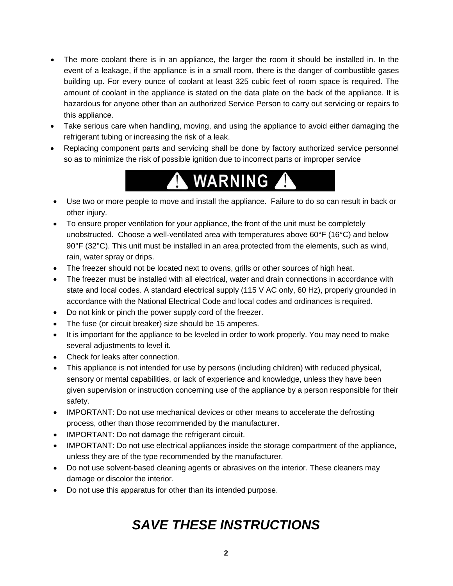- The more coolant there is in an appliance, the larger the room it should be installed in. In the event of a leakage, if the appliance is in a small room, there is the danger of combustible gases building up. For every ounce of coolant at least 325 cubic feet of room space is required. The amount of coolant in the appliance is stated on the data plate on the back of the appliance. It is hazardous for anyone other than an authorized Service Person to carry out servicing or repairs to this appliance.
- Take serious care when handling, moving, and using the appliance to avoid either damaging the refrigerant tubing or increasing the risk of a leak.
- Replacing component parts and servicing shall be done by factory authorized service personnel so as to minimize the risk of possible ignition due to incorrect parts or improper service



- Use two or more people to move and install the appliance. Failure to do so can result in back or other injury.
- To ensure proper ventilation for your appliance, the front of the unit must be completely unobstructed. Choose a well-ventilated area with temperatures above 60°F (16°C) and below 90°F (32°C). This unit must be installed in an area protected from the elements, such as wind, rain, water spray or drips.
- The freezer should not be located next to ovens, grills or other sources of high heat.
- The freezer must be installed with all electrical, water and drain connections in accordance with state and local codes. A standard electrical supply (115 V AC only, 60 Hz), properly grounded in accordance with the National Electrical Code and local codes and ordinances is required.
- Do not kink or pinch the power supply cord of the freezer.
- The fuse (or circuit breaker) size should be 15 amperes.
- It is important for the appliance to be leveled in order to work properly. You may need to make several adjustments to level it.
- Check for leaks after connection.
- This appliance is not intended for use by persons (including children) with reduced physical, sensory or mental capabilities, or lack of experience and knowledge, unless they have been given supervision or instruction concerning use of the appliance by a person responsible for their safety.
- IMPORTANT: Do not use mechanical devices or other means to accelerate the defrosting process, other than those recommended by the manufacturer.
- IMPORTANT: Do not damage the refrigerant circuit.
- IMPORTANT: Do not use electrical appliances inside the storage compartment of the appliance, unless they are of the type recommended by the manufacturer.
- Do not use solvent-based cleaning agents or abrasives on the interior. These cleaners may damage or discolor the interior.
- Do not use this apparatus for other than its intended purpose.

# *SAVE THESE INSTRUCTIONS*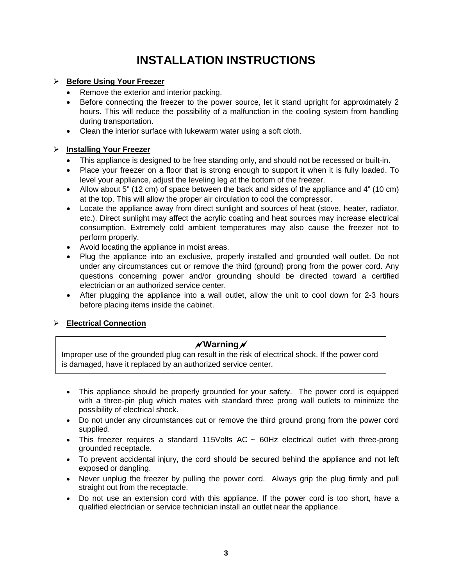### **INSTALLATION INSTRUCTIONS**

### **Before Using Your Freezer**

- Remove the exterior and interior packing.
- Before connecting the freezer to the power source, let it stand upright for approximately 2 hours. This will reduce the possibility of a malfunction in the cooling system from handling during transportation.
- Clean the interior surface with lukewarm water using a soft cloth.

### **Installing Your Freezer**

- This appliance is designed to be free standing only, and should not be recessed or built-in.
- Place your freezer on a floor that is strong enough to support it when it is fully loaded. To level your appliance, adjust the leveling leg at the bottom of the freezer.
- Allow about 5" (12 cm) of space between the back and sides of the appliance and 4" (10 cm) at the top. This will allow the proper air circulation to cool the compressor.
- Locate the appliance away from direct sunlight and sources of heat (stove, heater, radiator, etc.). Direct sunlight may affect the acrylic coating and heat sources may increase electrical consumption. Extremely cold ambient temperatures may also cause the freezer not to perform properly.
- Avoid locating the appliance in moist areas.
- Plug the appliance into an exclusive, properly installed and grounded wall outlet. Do not under any circumstances cut or remove the third (ground) prong from the power cord. Any questions concerning power and/or grounding should be directed toward a certified electrician or an authorized service center.
- After plugging the appliance into a wall outlet, allow the unit to cool down for 2-3 hours before placing items inside the cabinet.

### **Electrical Connection**

### **Warning**

Improper use of the grounded plug can result in the risk of electrical shock. If the power cord is damaged, have it replaced by an authorized service center.

- This appliance should be properly grounded for your safety. The power cord is equipped with a three-pin plug which mates with standard three prong wall outlets to minimize the possibility of electrical shock.
- Do not under any circumstances cut or remove the third ground prong from the power cord supplied.
- This freezer requires a standard 115Volts AC  $\sim$  60Hz electrical outlet with three-prong grounded receptacle.
- To prevent accidental injury, the cord should be secured behind the appliance and not left exposed or dangling.
- Never unplug the freezer by pulling the power cord. Always grip the plug firmly and pull straight out from the receptacle.
- Do not use an extension cord with this appliance. If the power cord is too short, have a qualified electrician or service technician install an outlet near the appliance.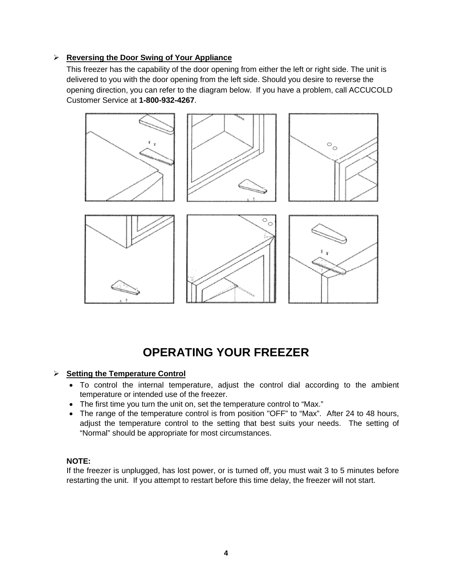#### **Reversing the Door Swing of Your Appliance**

This freezer has the capability of the door opening from either the left or right side. The unit is delivered to you with the door opening from the left side. Should you desire to reverse the opening direction, you can refer to the diagram below. If you have a problem, call ACCUCOLD Customer Service at **1-800-932-4267**.



### **OPERATING YOUR FREEZER**

#### **Setting the Temperature Control**

- To control the internal temperature, adjust the control dial according to the ambient temperature or intended use of the freezer.
- The first time you turn the unit on, set the temperature control to "Max."
- The range of the temperature control is from position "OFF" to "Max". After 24 to 48 hours, adjust the temperature control to the setting that best suits your needs. The setting of "Normal" should be appropriate for most circumstances.

### **NOTE:**

If the freezer is unplugged, has lost power, or is turned off, you must wait 3 to 5 minutes before restarting the unit. If you attempt to restart before this time delay, the freezer will not start.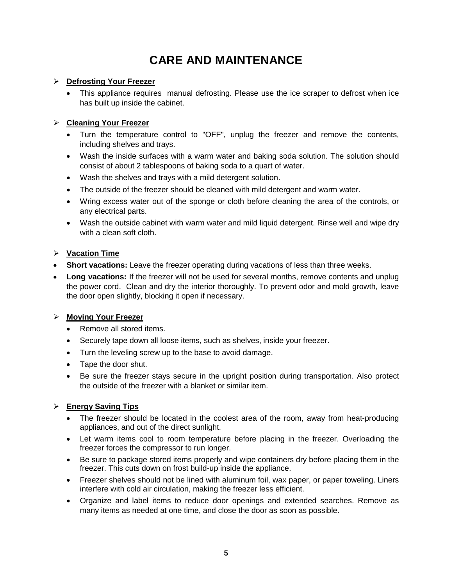### **CARE AND MAINTENANCE**

#### **Defrosting Your Freezer**

• This appliance requires manual defrosting. Please use the ice scraper to defrost when ice has built up inside the cabinet.

### **Cleaning Your Freezer**

- Turn the temperature control to "OFF", unplug the freezer and remove the contents, including shelves and trays.
- Wash the inside surfaces with a warm water and baking soda solution. The solution should consist of about 2 tablespoons of baking soda to a quart of water.
- Wash the shelves and trays with a mild detergent solution.
- The outside of the freezer should be cleaned with mild detergent and warm water.
- Wring excess water out of the sponge or cloth before cleaning the area of the controls, or any electrical parts.
- Wash the outside cabinet with warm water and mild liquid detergent. Rinse well and wipe dry with a clean soft cloth.

### **Vacation Time**

- **Short vacations:** Leave the freezer operating during vacations of less than three weeks.
- **Long vacations:** If the freezer will not be used for several months, remove contents and unplug the power cord. Clean and dry the interior thoroughly. To prevent odor and mold growth, leave the door open slightly, blocking it open if necessary.

### **Moving Your Freezer**

- Remove all stored items.
- Securely tape down all loose items, such as shelves, inside your freezer.
- Turn the leveling screw up to the base to avoid damage.
- Tape the door shut.
- Be sure the freezer stays secure in the upright position during transportation. Also protect the outside of the freezer with a blanket or similar item.

### **Energy Saving Tips**

- The freezer should be located in the coolest area of the room, away from heat-producing appliances, and out of the direct sunlight.
- Let warm items cool to room temperature before placing in the freezer. Overloading the freezer forces the compressor to run longer.
- Be sure to package stored items properly and wipe containers dry before placing them in the freezer. This cuts down on frost build-up inside the appliance.
- Freezer shelves should not be lined with aluminum foil, wax paper, or paper toweling. Liners interfere with cold air circulation, making the freezer less efficient.
- Organize and label items to reduce door openings and extended searches. Remove as many items as needed at one time, and close the door as soon as possible.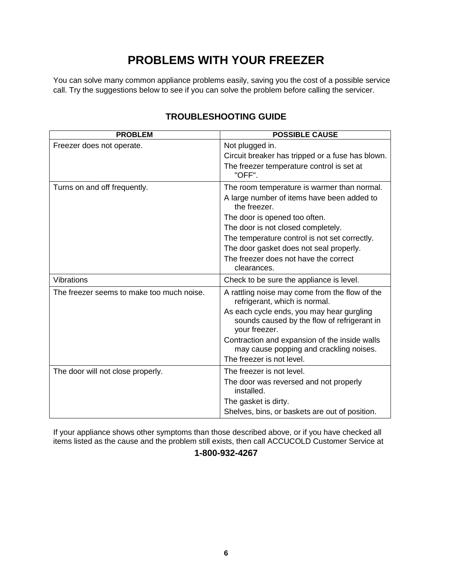### **PROBLEMS WITH YOUR FREEZER**

You can solve many common appliance problems easily, saving you the cost of a possible service call. Try the suggestions below to see if you can solve the problem before calling the servicer.

| <b>PROBLEM</b>                            | <b>POSSIBLE CAUSE</b>                                                                                     |
|-------------------------------------------|-----------------------------------------------------------------------------------------------------------|
| Freezer does not operate.                 | Not plugged in.                                                                                           |
|                                           | Circuit breaker has tripped or a fuse has blown.                                                          |
|                                           | The freezer temperature control is set at<br>"OFF".                                                       |
| Turns on and off frequently.              | The room temperature is warmer than normal.                                                               |
|                                           | A large number of items have been added to<br>the freezer.                                                |
|                                           | The door is opened too often.                                                                             |
|                                           | The door is not closed completely.                                                                        |
|                                           | The temperature control is not set correctly.                                                             |
|                                           | The door gasket does not seal properly.                                                                   |
|                                           | The freezer does not have the correct<br>clearances.                                                      |
| <b>Vibrations</b>                         | Check to be sure the appliance is level.                                                                  |
| The freezer seems to make too much noise. | A rattling noise may come from the flow of the<br>refrigerant, which is normal.                           |
|                                           | As each cycle ends, you may hear gurgling<br>sounds caused by the flow of refrigerant in<br>your freezer. |
|                                           | Contraction and expansion of the inside walls<br>may cause popping and crackling noises.                  |
|                                           | The freezer is not level.                                                                                 |
| The door will not close properly.         | The freezer is not level.                                                                                 |
|                                           | The door was reversed and not properly<br>installed.                                                      |
|                                           | The gasket is dirty.                                                                                      |
|                                           | Shelves, bins, or baskets are out of position.                                                            |

### **TROUBLESHOOTING GUIDE**

If your appliance shows other symptoms than those described above, or if you have checked all items listed as the cause and the problem still exists, then call ACCUCOLD Customer Service at

### **1-800-932-4267**